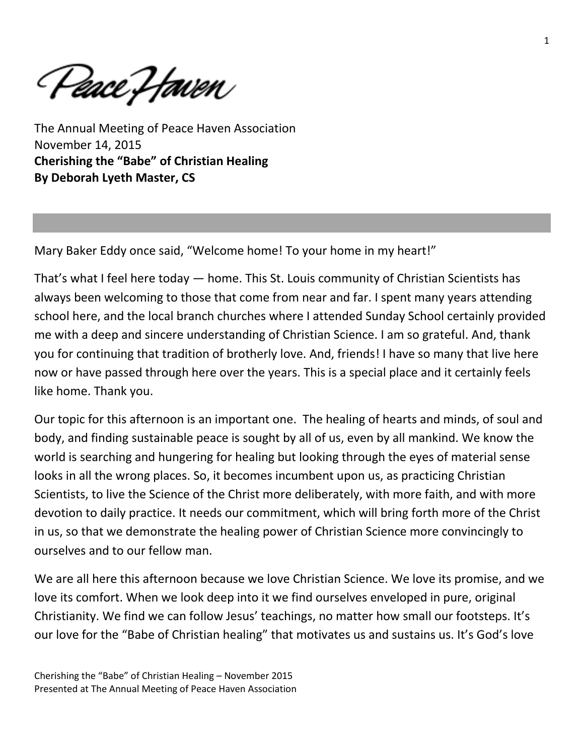*(Veace Haven* 

The Annual Meeting of Peace Haven Association November 14, 2015 **Cherishing the "Babe" of Christian Healing By Deborah Lyeth Master, CS**

Mary Baker Eddy once said, "Welcome home! To your home in my heart!"

That's what I feel here today — home. This St. Louis community of Christian Scientists has always been welcoming to those that come from near and far. I spent many years attending school here, and the local branch churches where I attended Sunday School certainly provided me with a deep and sincere understanding of Christian Science. I am so grateful. And, thank you for continuing that tradition of brotherly love. And, friends! I have so many that live here now or have passed through here over the years. This is a special place and it certainly feels like home. Thank you.

Our topic for this afternoon is an important one. The healing of hearts and minds, of soul and body, and finding sustainable peace is sought by all of us, even by all mankind. We know the world is searching and hungering for healing but looking through the eyes of material sense looks in all the wrong places. So, it becomes incumbent upon us, as practicing Christian Scientists, to live the Science of the Christ more deliberately, with more faith, and with more devotion to daily practice. It needs our commitment, which will bring forth more of the Christ in us, so that we demonstrate the healing power of Christian Science more convincingly to ourselves and to our fellow man.

We are all here this afternoon because we love Christian Science. We love its promise, and we love its comfort. When we look deep into it we find ourselves enveloped in pure, original Christianity. We find we can follow Jesus' teachings, no matter how small our footsteps. It's our love for the "Babe of Christian healing" that motivates us and sustains us. It's God's love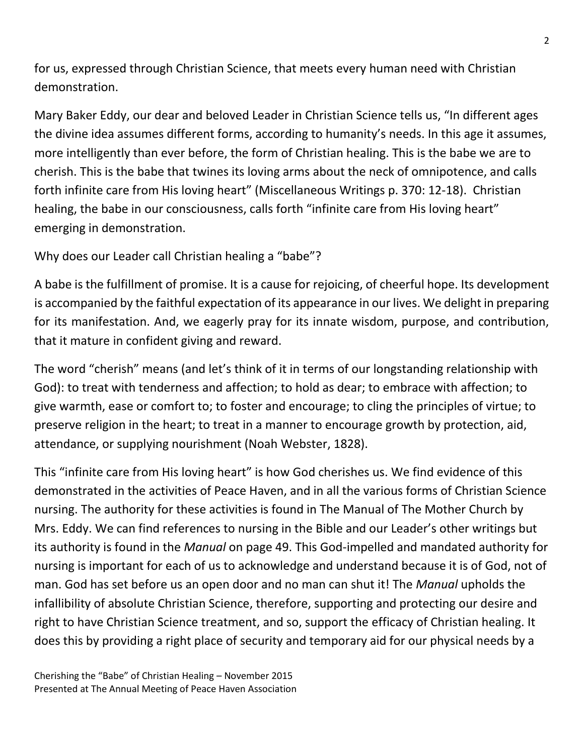for us, expressed through Christian Science, that meets every human need with Christian demonstration.

Mary Baker Eddy, our dear and beloved Leader in Christian Science tells us, "In different ages the divine idea assumes different forms, according to humanity's needs. In this age it assumes, more intelligently than ever before, the form of Christian healing. This is the babe we are to cherish. This is the babe that twines its loving arms about the neck of omnipotence, and calls forth infinite care from His loving heart" (Miscellaneous Writings p. 370: 12-18). Christian healing, the babe in our consciousness, calls forth "infinite care from His loving heart" emerging in demonstration.

Why does our Leader call Christian healing a "babe"?

A babe is the fulfillment of promise. It is a cause for rejoicing, of cheerful hope. Its development is accompanied by the faithful expectation of its appearance in our lives. We delight in preparing for its manifestation. And, we eagerly pray for its innate wisdom, purpose, and contribution, that it mature in confident giving and reward.

The word "cherish" means (and let's think of it in terms of our longstanding relationship with God): to treat with tenderness and affection; to hold as dear; to embrace with affection; to give warmth, ease or comfort to; to foster and encourage; to cling the principles of virtue; to preserve religion in the heart; to treat in a manner to encourage growth by protection, aid, attendance, or supplying nourishment (Noah Webster, 1828).

This "infinite care from His loving heart" is how God cherishes us. We find evidence of this demonstrated in the activities of Peace Haven, and in all the various forms of Christian Science nursing. The authority for these activities is found in The Manual of The Mother Church by Mrs. Eddy. We can find references to nursing in the Bible and our Leader's other writings but its authority is found in the *Manual* on page 49. This God-impelled and mandated authority for nursing is important for each of us to acknowledge and understand because it is of God, not of man. God has set before us an open door and no man can shut it! The *Manual* upholds the infallibility of absolute Christian Science, therefore, supporting and protecting our desire and right to have Christian Science treatment, and so, support the efficacy of Christian healing. It does this by providing a right place of security and temporary aid for our physical needs by a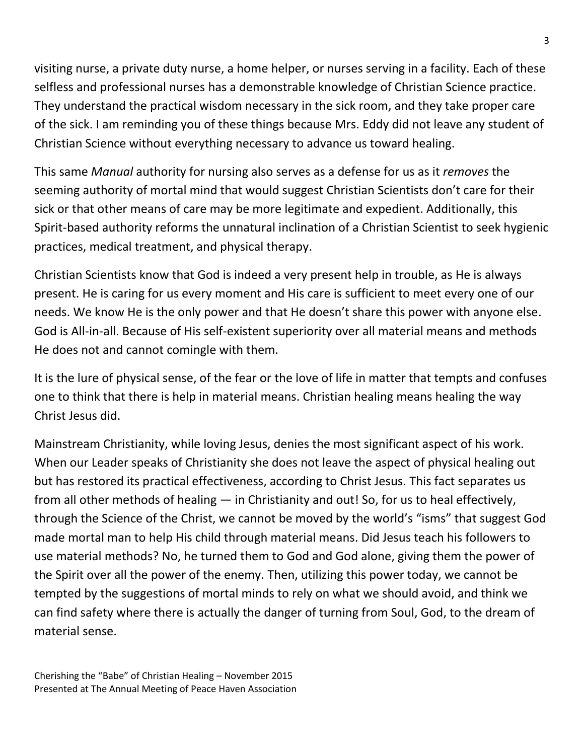visiting nurse, a private duty nurse, a home helper, or nurses serving in a facility. Each of these selfless and professional nurses has a demonstrable knowledge of Christian Science practice. They understand the practical wisdom necessary in the sick room, and they take proper care of the sick. I am reminding you of these things because Mrs. Eddy did not leave any student of Christian Science without everything necessary to advance us toward healing.

This same *Manual* authority for nursing also serves as a defense for us as it *removes* the seeming authority of mortal mind that would suggest Christian Scientists don't care for their sick or that other means of care may be more legitimate and expedient. Additionally, this Spirit-based authority reforms the unnatural inclination of a Christian Scientist to seek hygienic practices, medical treatment, and physical therapy.

Christian Scientists know that God is indeed a very present help in trouble, as He is always present. He is caring for us every moment and His care is sufficient to meet every one of our needs. We know He is the only power and that He doesn't share this power with anyone else. God is All-in-all. Because of His self-existent superiority over all material means and methods He does not and cannot comingle with them.

It is the lure of physical sense, of the fear or the love of life in matter that tempts and confuses one to think that there is help in material means. Christian healing means healing the way Christ Jesus did.

Mainstream Christianity, while loving Jesus, denies the most significant aspect of his work. When our Leader speaks of Christianity she does not leave the aspect of physical healing out but has restored its practical effectiveness, according to Christ Jesus. This fact separates us from all other methods of healing — in Christianity and out! So, for us to heal effectively, through the Science of the Christ, we cannot be moved by the world's "isms" that suggest God made mortal man to help His child through material means. Did Jesus teach his followers to use material methods? No, he turned them to God and God alone, giving them the power of the Spirit over all the power of the enemy. Then, utilizing this power today, we cannot be tempted by the suggestions of mortal minds to rely on what we should avoid, and think we can find safety where there is actually the danger of turning from Soul, God, to the dream of material sense.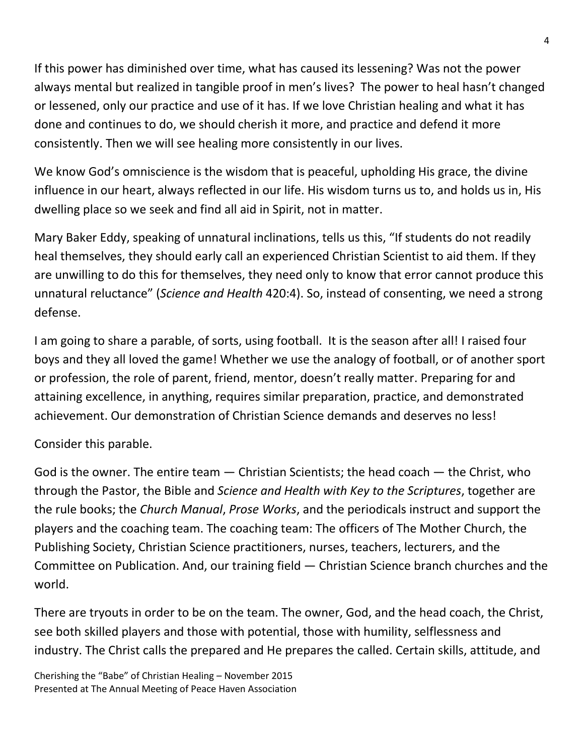If this power has diminished over time, what has caused its lessening? Was not the power always mental but realized in tangible proof in men's lives? The power to heal hasn't changed or lessened, only our practice and use of it has. If we love Christian healing and what it has done and continues to do, we should cherish it more, and practice and defend it more consistently. Then we will see healing more consistently in our lives.

We know God's omniscience is the wisdom that is peaceful, upholding His grace, the divine influence in our heart, always reflected in our life. His wisdom turns us to, and holds us in, His dwelling place so we seek and find all aid in Spirit, not in matter.

Mary Baker Eddy, speaking of unnatural inclinations, tells us this, "If students do not readily heal themselves, they should early call an experienced Christian Scientist to aid them. If they are unwilling to do this for themselves, they need only to know that error cannot produce this unnatural reluctance" (*Science and Health* 420:4). So, instead of consenting, we need a strong defense.

I am going to share a parable, of sorts, using football. It is the season after all! I raised four boys and they all loved the game! Whether we use the analogy of football, or of another sport or profession, the role of parent, friend, mentor, doesn't really matter. Preparing for and attaining excellence, in anything, requires similar preparation, practice, and demonstrated achievement. Our demonstration of Christian Science demands and deserves no less!

## Consider this parable.

God is the owner. The entire team  $-$  Christian Scientists; the head coach  $-$  the Christ, who through the Pastor, the Bible and *Science and Health with Key to the Scriptures*, together are the rule books; the *Church Manual*, *Prose Works*, and the periodicals instruct and support the players and the coaching team. The coaching team: The officers of The Mother Church, the Publishing Society, Christian Science practitioners, nurses, teachers, lecturers, and the Committee on Publication. And, our training field — Christian Science branch churches and the world.

There are tryouts in order to be on the team. The owner, God, and the head coach, the Christ, see both skilled players and those with potential, those with humility, selflessness and industry. The Christ calls the prepared and He prepares the called. Certain skills, attitude, and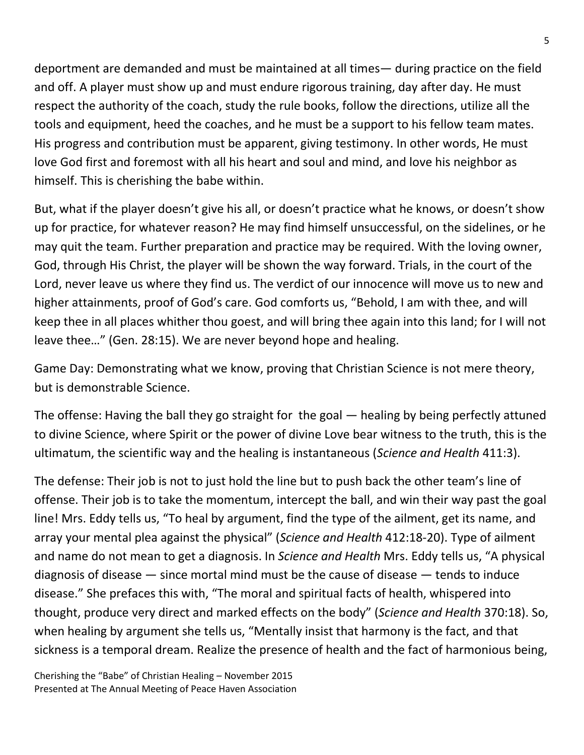deportment are demanded and must be maintained at all times— during practice on the field and off. A player must show up and must endure rigorous training, day after day. He must respect the authority of the coach, study the rule books, follow the directions, utilize all the tools and equipment, heed the coaches, and he must be a support to his fellow team mates. His progress and contribution must be apparent, giving testimony. In other words, He must love God first and foremost with all his heart and soul and mind, and love his neighbor as himself. This is cherishing the babe within.

But, what if the player doesn't give his all, or doesn't practice what he knows, or doesn't show up for practice, for whatever reason? He may find himself unsuccessful, on the sidelines, or he may quit the team. Further preparation and practice may be required. With the loving owner, God, through His Christ, the player will be shown the way forward. Trials, in the court of the Lord, never leave us where they find us. The verdict of our innocence will move us to new and higher attainments, proof of God's care. God comforts us, "Behold, I am with thee, and will keep thee in all places whither thou goest, and will bring thee again into this land; for I will not leave thee…" (Gen. 28:15). We are never beyond hope and healing.

Game Day: Demonstrating what we know, proving that Christian Science is not mere theory, but is demonstrable Science.

The offense: Having the ball they go straight for the goal — healing by being perfectly attuned to divine Science, where Spirit or the power of divine Love bear witness to the truth, this is the ultimatum, the scientific way and the healing is instantaneous (*Science and Health* 411:3).

The defense: Their job is not to just hold the line but to push back the other team's line of offense. Their job is to take the momentum, intercept the ball, and win their way past the goal line! Mrs. Eddy tells us, "To heal by argument, find the type of the ailment, get its name, and array your mental plea against the physical" (*Science and Health* 412:18-20). Type of ailment and name do not mean to get a diagnosis. In *Science and Health* Mrs. Eddy tells us, "A physical diagnosis of disease — since mortal mind must be the cause of disease — tends to induce disease." She prefaces this with, "The moral and spiritual facts of health, whispered into thought, produce very direct and marked effects on the body" (*Science and Health* 370:18). So, when healing by argument she tells us, "Mentally insist that harmony is the fact, and that sickness is a temporal dream. Realize the presence of health and the fact of harmonious being,

Cherishing the "Babe" of Christian Healing – November 2015 Presented at The Annual Meeting of Peace Haven Association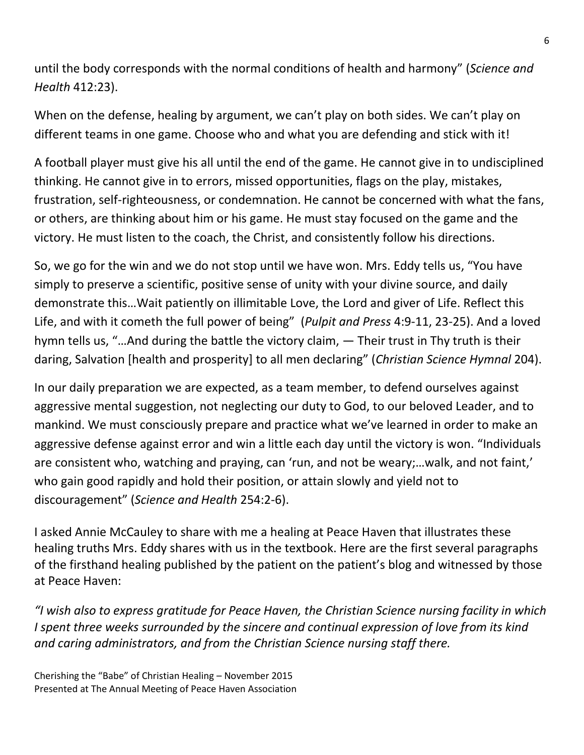until the body corresponds with the normal conditions of health and harmony" (*Science and Health* 412:23).

When on the defense, healing by argument, we can't play on both sides. We can't play on different teams in one game. Choose who and what you are defending and stick with it!

A football player must give his all until the end of the game. He cannot give in to undisciplined thinking. He cannot give in to errors, missed opportunities, flags on the play, mistakes, frustration, self-righteousness, or condemnation. He cannot be concerned with what the fans, or others, are thinking about him or his game. He must stay focused on the game and the victory. He must listen to the coach, the Christ, and consistently follow his directions.

So, we go for the win and we do not stop until we have won. Mrs. Eddy tells us, "You have simply to preserve a scientific, positive sense of unity with your divine source, and daily demonstrate this…Wait patiently on illimitable Love, the Lord and giver of Life. Reflect this Life, and with it cometh the full power of being" (*Pulpit and Press* 4:9-11, 23-25). And a loved hymn tells us, "…And during the battle the victory claim, — Their trust in Thy truth is their daring, Salvation [health and prosperity] to all men declaring" (*Christian Science Hymnal* 204).

In our daily preparation we are expected, as a team member, to defend ourselves against aggressive mental suggestion, not neglecting our duty to God, to our beloved Leader, and to mankind. We must consciously prepare and practice what we've learned in order to make an aggressive defense against error and win a little each day until the victory is won. "Individuals are consistent who, watching and praying, can 'run, and not be weary;…walk, and not faint,' who gain good rapidly and hold their position, or attain slowly and yield not to discouragement" (*Science and Health* 254:2-6).

I asked Annie McCauley to share with me a healing at Peace Haven that illustrates these healing truths Mrs. Eddy shares with us in the textbook. Here are the first several paragraphs of the firsthand healing published by the patient on the patient's blog and witnessed by those at Peace Haven:

*"I wish also to express gratitude for Peace Haven, the Christian Science nursing facility in which I spent three weeks surrounded by the sincere and continual expression of love from its kind and caring administrators, and from the Christian Science nursing staff there.*

Cherishing the "Babe" of Christian Healing – November 2015 Presented at The Annual Meeting of Peace Haven Association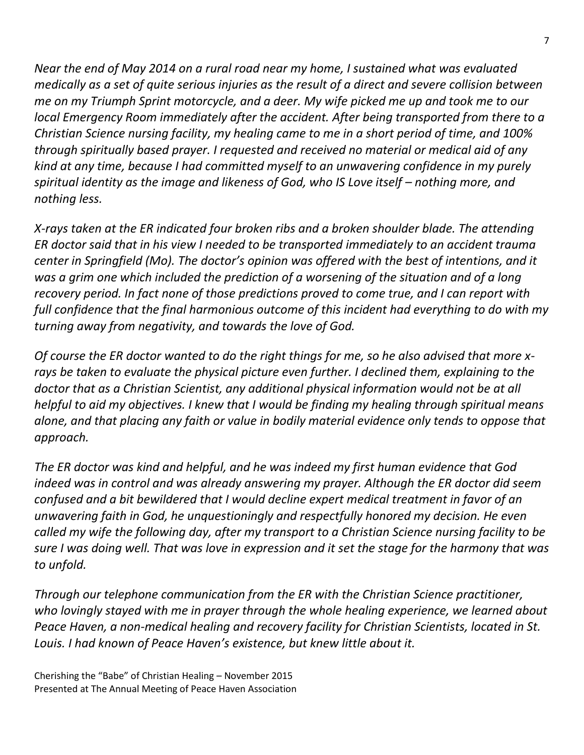*Near the end of May 2014 on a rural road near my home, I sustained what was evaluated medically as a set of quite serious injuries as the result of a direct and severe collision between me on my Triumph Sprint motorcycle, and a deer. My wife picked me up and took me to our local Emergency Room immediately after the accident. After being transported from there to a Christian Science nursing facility, my healing came to me in a short period of time, and 100% through spiritually based prayer. I requested and received no material or medical aid of any kind at any time, because I had committed myself to an unwavering confidence in my purely spiritual identity as the image and likeness of God, who IS Love itself – nothing more, and nothing less.*

*X-rays taken at the ER indicated four broken ribs and a broken shoulder blade. The attending ER doctor said that in his view I needed to be transported immediately to an accident trauma center in Springfield (Mo). The doctor's opinion was offered with the best of intentions, and it was a grim one which included the prediction of a worsening of the situation and of a long recovery period. In fact none of those predictions proved to come true, and I can report with full confidence that the final harmonious outcome of this incident had everything to do with my turning away from negativity, and towards the love of God.*

*Of course the ER doctor wanted to do the right things for me, so he also advised that more xrays be taken to evaluate the physical picture even further. I declined them, explaining to the doctor that as a Christian Scientist, any additional physical information would not be at all helpful to aid my objectives. I knew that I would be finding my healing through spiritual means alone, and that placing any faith or value in bodily material evidence only tends to oppose that approach.*

*The ER doctor was kind and helpful, and he was indeed my first human evidence that God indeed was in control and was already answering my prayer. Although the ER doctor did seem confused and a bit bewildered that I would decline expert medical treatment in favor of an unwavering faith in God, he unquestioningly and respectfully honored my decision. He even called my wife the following day, after my transport to a Christian Science nursing facility to be sure I was doing well. That was love in expression and it set the stage for the harmony that was to unfold.*

*Through our telephone communication from the ER with the Christian Science practitioner, who lovingly stayed with me in prayer through the whole healing experience, we learned about Peace Haven, a non-medical healing and recovery facility for Christian Scientists, located in St. Louis. I had known of Peace Haven's existence, but knew little about it.*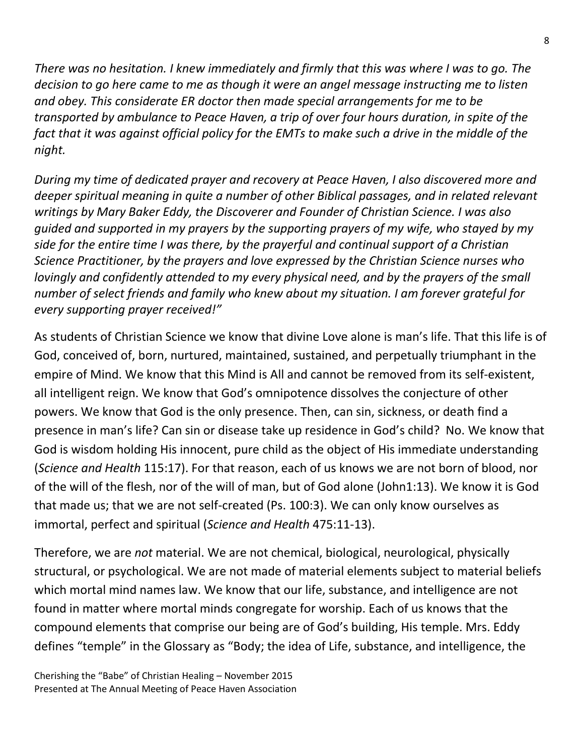*There was no hesitation. I knew immediately and firmly that this was where I was to go. The decision to go here came to me as though it were an angel message instructing me to listen and obey. This considerate ER doctor then made special arrangements for me to be transported by ambulance to Peace Haven, a trip of over four hours duration, in spite of the fact that it was against official policy for the EMTs to make such a drive in the middle of the night.*

*During my time of dedicated prayer and recovery at Peace Haven, I also discovered more and deeper spiritual meaning in quite a number of other Biblical passages, and in related relevant writings by Mary Baker Eddy, the Discoverer and Founder of Christian Science. I was also guided and supported in my prayers by the supporting prayers of my wife, who stayed by my side for the entire time I was there, by the prayerful and continual support of a Christian Science Practitioner, by the prayers and love expressed by the Christian Science nurses who lovingly and confidently attended to my every physical need, and by the prayers of the small number of select friends and family who knew about my situation. I am forever grateful for every supporting prayer received!"*

As students of Christian Science we know that divine Love alone is man's life. That this life is of God, conceived of, born, nurtured, maintained, sustained, and perpetually triumphant in the empire of Mind. We know that this Mind is All and cannot be removed from its self-existent, all intelligent reign. We know that God's omnipotence dissolves the conjecture of other powers. We know that God is the only presence. Then, can sin, sickness, or death find a presence in man's life? Can sin or disease take up residence in God's child? No. We know that God is wisdom holding His innocent, pure child as the object of His immediate understanding (*Science and Health* 115:17). For that reason, each of us knows we are not born of blood, nor of the will of the flesh, nor of the will of man, but of God alone (John1:13). We know it is God that made us; that we are not self-created (Ps. 100:3). We can only know ourselves as immortal, perfect and spiritual (*Science and Health* 475:11-13).

Therefore, we are *not* material. We are not chemical, biological, neurological, physically structural, or psychological. We are not made of material elements subject to material beliefs which mortal mind names law. We know that our life, substance, and intelligence are not found in matter where mortal minds congregate for worship. Each of us knows that the compound elements that comprise our being are of God's building, His temple. Mrs. Eddy defines "temple" in the Glossary as "Body; the idea of Life, substance, and intelligence, the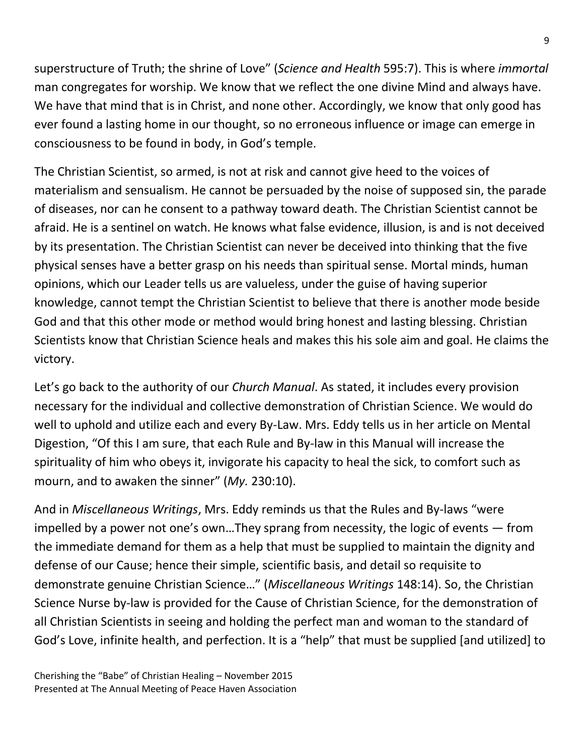superstructure of Truth; the shrine of Love" (*Science and Health* 595:7). This is where *immortal*  man congregates for worship. We know that we reflect the one divine Mind and always have. We have that mind that is in Christ, and none other. Accordingly, we know that only good has ever found a lasting home in our thought, so no erroneous influence or image can emerge in consciousness to be found in body, in God's temple.

The Christian Scientist, so armed, is not at risk and cannot give heed to the voices of materialism and sensualism. He cannot be persuaded by the noise of supposed sin, the parade of diseases, nor can he consent to a pathway toward death. The Christian Scientist cannot be afraid. He is a sentinel on watch. He knows what false evidence, illusion, is and is not deceived by its presentation. The Christian Scientist can never be deceived into thinking that the five physical senses have a better grasp on his needs than spiritual sense. Mortal minds, human opinions, which our Leader tells us are valueless, under the guise of having superior knowledge, cannot tempt the Christian Scientist to believe that there is another mode beside God and that this other mode or method would bring honest and lasting blessing. Christian Scientists know that Christian Science heals and makes this his sole aim and goal. He claims the victory.

Let's go back to the authority of our *Church Manual*. As stated, it includes every provision necessary for the individual and collective demonstration of Christian Science. We would do well to uphold and utilize each and every By-Law. Mrs. Eddy tells us in her article on Mental Digestion, "Of this I am sure, that each Rule and By-law in this Manual will increase the spirituality of him who obeys it, invigorate his capacity to heal the sick, to comfort such as mourn, and to awaken the sinner" (*My.* 230:10).

And in *Miscellaneous Writings*, Mrs. Eddy reminds us that the Rules and By-laws "were impelled by a power not one's own…They sprang from necessity, the logic of events — from the immediate demand for them as a help that must be supplied to maintain the dignity and defense of our Cause; hence their simple, scientific basis, and detail so requisite to demonstrate genuine Christian Science…" (*Miscellaneous Writings* 148:14). So, the Christian Science Nurse by-law is provided for the Cause of Christian Science, for the demonstration of all Christian Scientists in seeing and holding the perfect man and woman to the standard of God's Love, infinite health, and perfection. It is a "help" that must be supplied [and utilized] to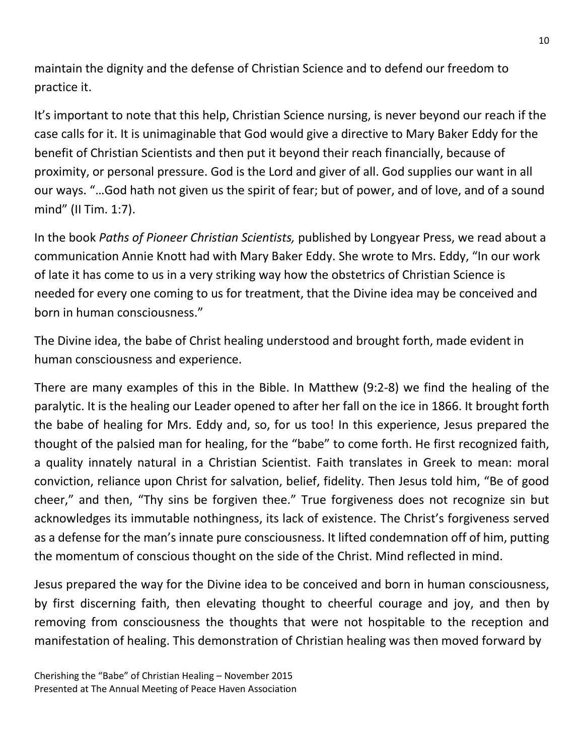maintain the dignity and the defense of Christian Science and to defend our freedom to practice it.

It's important to note that this help, Christian Science nursing, is never beyond our reach if the case calls for it. It is unimaginable that God would give a directive to Mary Baker Eddy for the benefit of Christian Scientists and then put it beyond their reach financially, because of proximity, or personal pressure. God is the Lord and giver of all. God supplies our want in all our ways. "…God hath not given us the spirit of fear; but of power, and of love, and of a sound mind" (II Tim. 1:7).

In the book *Paths of Pioneer Christian Scientists,* published by Longyear Press, we read about a communication Annie Knott had with Mary Baker Eddy. She wrote to Mrs. Eddy, "In our work of late it has come to us in a very striking way how the obstetrics of Christian Science is needed for every one coming to us for treatment, that the Divine idea may be conceived and born in human consciousness."

The Divine idea, the babe of Christ healing understood and brought forth, made evident in human consciousness and experience.

There are many examples of this in the Bible. In Matthew (9:2-8) we find the healing of the paralytic. It is the healing our Leader opened to after her fall on the ice in 1866. It brought forth the babe of healing for Mrs. Eddy and, so, for us too! In this experience, Jesus prepared the thought of the palsied man for healing, for the "babe" to come forth. He first recognized faith, a quality innately natural in a Christian Scientist. Faith translates in Greek to mean: moral conviction, reliance upon Christ for salvation, belief, fidelity. Then Jesus told him, "Be of good cheer," and then, "Thy sins be forgiven thee." True forgiveness does not recognize sin but acknowledges its immutable nothingness, its lack of existence. The Christ's forgiveness served as a defense for the man's innate pure consciousness. It lifted condemnation off of him, putting the momentum of conscious thought on the side of the Christ. Mind reflected in mind.

Jesus prepared the way for the Divine idea to be conceived and born in human consciousness, by first discerning faith, then elevating thought to cheerful courage and joy, and then by removing from consciousness the thoughts that were not hospitable to the reception and manifestation of healing. This demonstration of Christian healing was then moved forward by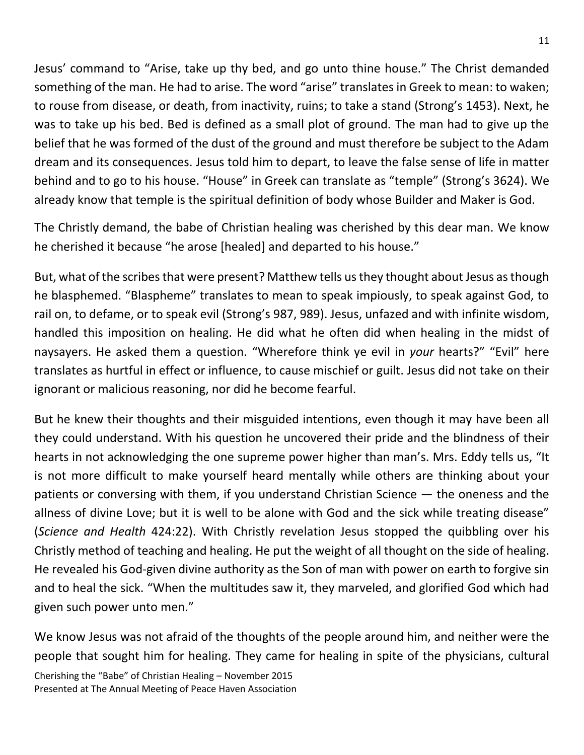Jesus' command to "Arise, take up thy bed, and go unto thine house." The Christ demanded something of the man. He had to arise. The word "arise" translates in Greek to mean: to waken; to rouse from disease, or death, from inactivity, ruins; to take a stand (Strong's 1453). Next, he was to take up his bed. Bed is defined as a small plot of ground. The man had to give up the belief that he was formed of the dust of the ground and must therefore be subject to the Adam dream and its consequences. Jesus told him to depart, to leave the false sense of life in matter behind and to go to his house. "House" in Greek can translate as "temple" (Strong's 3624). We already know that temple is the spiritual definition of body whose Builder and Maker is God.

The Christly demand, the babe of Christian healing was cherished by this dear man. We know he cherished it because "he arose [healed] and departed to his house."

But, what of the scribes that were present? Matthew tells us they thought about Jesus as though he blasphemed. "Blaspheme" translates to mean to speak impiously, to speak against God, to rail on, to defame, or to speak evil (Strong's 987, 989). Jesus, unfazed and with infinite wisdom, handled this imposition on healing. He did what he often did when healing in the midst of naysayers. He asked them a question. "Wherefore think ye evil in *your* hearts?" "Evil" here translates as hurtful in effect or influence, to cause mischief or guilt. Jesus did not take on their ignorant or malicious reasoning, nor did he become fearful.

But he knew their thoughts and their misguided intentions, even though it may have been all they could understand. With his question he uncovered their pride and the blindness of their hearts in not acknowledging the one supreme power higher than man's. Mrs. Eddy tells us, "It is not more difficult to make yourself heard mentally while others are thinking about your patients or conversing with them, if you understand Christian Science — the oneness and the allness of divine Love; but it is well to be alone with God and the sick while treating disease" (*Science and Health* 424:22). With Christly revelation Jesus stopped the quibbling over his Christly method of teaching and healing. He put the weight of all thought on the side of healing. He revealed his God-given divine authority as the Son of man with power on earth to forgive sin and to heal the sick. "When the multitudes saw it, they marveled, and glorified God which had given such power unto men."

We know Jesus was not afraid of the thoughts of the people around him, and neither were the people that sought him for healing. They came for healing in spite of the physicians, cultural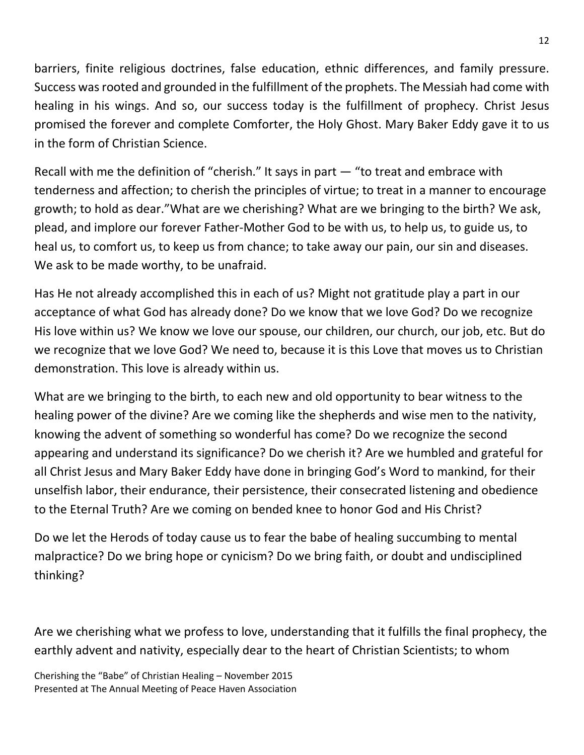barriers, finite religious doctrines, false education, ethnic differences, and family pressure. Success was rooted and grounded in the fulfillment of the prophets. The Messiah had come with healing in his wings. And so, our success today is the fulfillment of prophecy. Christ Jesus promised the forever and complete Comforter, the Holy Ghost. Mary Baker Eddy gave it to us in the form of Christian Science.

Recall with me the definition of "cherish." It says in part — "to treat and embrace with tenderness and affection; to cherish the principles of virtue; to treat in a manner to encourage growth; to hold as dear."What are we cherishing? What are we bringing to the birth? We ask, plead, and implore our forever Father-Mother God to be with us, to help us, to guide us, to heal us, to comfort us, to keep us from chance; to take away our pain, our sin and diseases. We ask to be made worthy, to be unafraid.

Has He not already accomplished this in each of us? Might not gratitude play a part in our acceptance of what God has already done? Do we know that we love God? Do we recognize His love within us? We know we love our spouse, our children, our church, our job, etc. But do we recognize that we love God? We need to, because it is this Love that moves us to Christian demonstration. This love is already within us.

What are we bringing to the birth, to each new and old opportunity to bear witness to the healing power of the divine? Are we coming like the shepherds and wise men to the nativity, knowing the advent of something so wonderful has come? Do we recognize the second appearing and understand its significance? Do we cherish it? Are we humbled and grateful for all Christ Jesus and Mary Baker Eddy have done in bringing God's Word to mankind, for their unselfish labor, their endurance, their persistence, their consecrated listening and obedience to the Eternal Truth? Are we coming on bended knee to honor God and His Christ?

Do we let the Herods of today cause us to fear the babe of healing succumbing to mental malpractice? Do we bring hope or cynicism? Do we bring faith, or doubt and undisciplined thinking?

Are we cherishing what we profess to love, understanding that it fulfills the final prophecy, the earthly advent and nativity, especially dear to the heart of Christian Scientists; to whom

Cherishing the "Babe" of Christian Healing – November 2015 Presented at The Annual Meeting of Peace Haven Association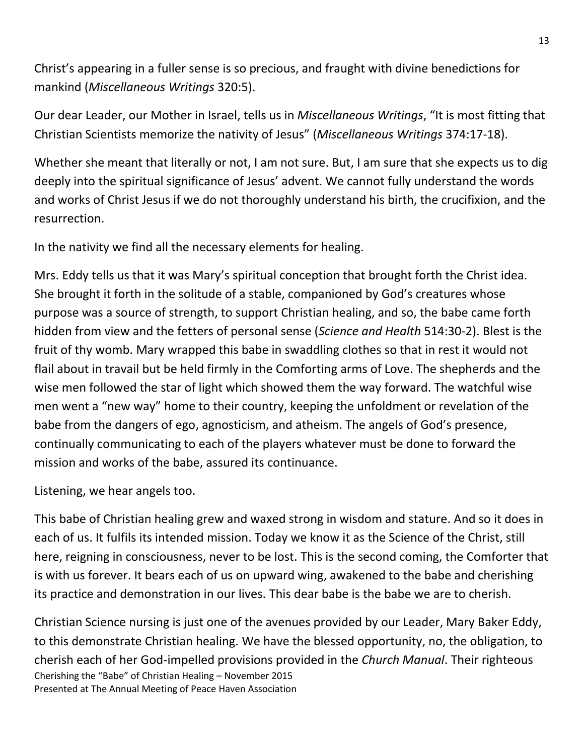Christ's appearing in a fuller sense is so precious, and fraught with divine benedictions for mankind (*Miscellaneous Writings* 320:5).

Our dear Leader, our Mother in Israel, tells us in *Miscellaneous Writings*, "It is most fitting that Christian Scientists memorize the nativity of Jesus" (*Miscellaneous Writings* 374:17-18).

Whether she meant that literally or not, I am not sure. But, I am sure that she expects us to dig deeply into the spiritual significance of Jesus' advent. We cannot fully understand the words and works of Christ Jesus if we do not thoroughly understand his birth, the crucifixion, and the resurrection.

In the nativity we find all the necessary elements for healing.

Mrs. Eddy tells us that it was Mary's spiritual conception that brought forth the Christ idea. She brought it forth in the solitude of a stable, companioned by God's creatures whose purpose was a source of strength, to support Christian healing, and so, the babe came forth hidden from view and the fetters of personal sense (*Science and Health* 514:30-2). Blest is the fruit of thy womb. Mary wrapped this babe in swaddling clothes so that in rest it would not flail about in travail but be held firmly in the Comforting arms of Love. The shepherds and the wise men followed the star of light which showed them the way forward. The watchful wise men went a "new way" home to their country, keeping the unfoldment or revelation of the babe from the dangers of ego, agnosticism, and atheism. The angels of God's presence, continually communicating to each of the players whatever must be done to forward the mission and works of the babe, assured its continuance.

Listening, we hear angels too.

This babe of Christian healing grew and waxed strong in wisdom and stature. And so it does in each of us. It fulfils its intended mission. Today we know it as the Science of the Christ, still here, reigning in consciousness, never to be lost. This is the second coming, the Comforter that is with us forever. It bears each of us on upward wing, awakened to the babe and cherishing its practice and demonstration in our lives. This dear babe is the babe we are to cherish.

Cherishing the "Babe" of Christian Healing – November 2015 Presented at The Annual Meeting of Peace Haven Association Christian Science nursing is just one of the avenues provided by our Leader, Mary Baker Eddy, to this demonstrate Christian healing. We have the blessed opportunity, no, the obligation, to cherish each of her God-impelled provisions provided in the *Church Manual*. Their righteous